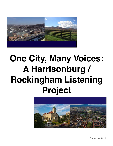

# **One City, Many Voices: A Harrisonburg / Rockingham Listening Project**



December 2012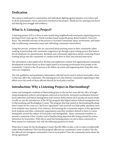# **Dedication**

This report is dedicated to communities and individuals fighting against injustice everywhere and to all the participants, voices, and stories involved in this project. Thank you for opening your doors and sharing your struggle and resiliency.

# **What Is A Listening Project?**

A listening project (LP) is a three to nine month long neighborhood/community organizing process developed forty years ago by a North Carolina-based nonprofit group, Rural Southern Voices for Peace. The intended outcome of this process is increased community input, involvement, and leadership in addressing community issues and cultivating community-based efforts.

Using this process, residents who are concerned about pressing issues in their community (often working in partnership with community supporters) go through a goal-setting process that leads to the development of a questionnaire. Residents and community supporters attend a Listening Project training and go into the community to conduct both door-to-door and solicited interviews.

The information is then gathered to develop and implement resident-led organizing and community development activities based on direct input aimed at increasing involvement from people in the community. Central to the LP process is the follow-up action and organizing done long after interviews are completed.

The rich qualitative and quantitative information collected can be used to inform local policy choices that may affect the community. The listening process also informs community organizing so that efforts serve the needs of those affected directly by local policy and law.

# **Introduction: Why a Listening Project in Harrisonburg?**

Latino and immigrant-residents of Harrisonburg have in the last five years felt the effect of toughening immigration policies and programs enforced at local levels. Increased coordination between local authorities and federal Immigration and Customs Enforcement (ICE) produced mixed results. Locally we saw the introduction of the 287(g) program that helped enforce federal immigration law in Harrisonburg and Rockingham County. The program that had existed in Harrisonburg/Rockingham County for five years as a "Jail Force Agreement" had received very little public attention; most local residents were unaware of its existence. Not knowing the community impact of this agreement local residents and other community organizations and their members desired to listen to Latino immigrants around the subject of local police and immigration. Many community members expressed a sentiment of fear of police and of families being deported after being arrested for minor infractions by local police. With this in mind the listening project set out to listen extensively to these stories in a systematic way with the following questions in mind:

What does it mean for the Rockingham County Sheriffs Office to play a role in what is traditionally under federal authority? How has this program affected our community's sense of safety? Has the law affected our immigrant community's trust in local police? Does the community know about the 287(g) agreement?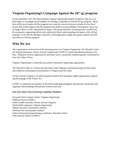# **Virginia Organizing's Campaign Against the 287 (g) program**

In late September 2011 the Harrisonburg Virginia Organizing Chapter decided to take on, or at least begin to investigate the possibility of running a campaign to end the 287(g) program. Members of the local chapter felt the program was cause for concern however outside of a few local stories that would support that the program lent itself to racial profiling of immigrants, there was no larger effort to truly understand its impact. The group decided a listening project would benefit community-organizing efforts and could aid in better understanding the impact of the 287(g) program. It was felt the dialogue created by a listening project might also garner support around any efforts to end the program.

# **Who We Are**

The organizations at the front of the listening project are Virginia Organizing, The Wayside Center for Popular Education, Dream Activist Virginia and COSPU (Comité Salvedoreño Paisanos Unidos). Members of these organizations and other active community residents greatly contributed to One City, Many Voices.

Virginia Organizing is a statewide non-profit community organizing organization.

The Wayside Center is a retreat and education center helping community groups develop plans and solutions to pressing social problems in Virginia and the South.

Dream Activist Virginia is an undocumented student-led immigrant rights organization supporting the passage of the Dream Act.

COSPU is comprised of members of the Harrisonburg/Rockingham Salvadorian community and organizes Harrisonburg's Salvadorian Festival each year.

#### **One City, Many Voices Steering Committee Members**

Fernando Perez (chapter leader, Virginia Organizing) Wilfredo Flores (COSPU) Isabel Castillo (founder, Dream Activist Virginia) Emily Riehl (organizer, Virginia Organizing) Palamo Saucedo (community resident) Florenica Paz (community resident) Joshua Diamond (programming coordinator, Wayside Center) Nelly Moreno-Shenk (COSPU)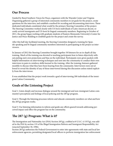# **Our Process**

Guided by Rural Southern Voices for Peace, organizers with the Wayside Center and Virginia Organizing gathered a group of interested community members to set goals for the project, create questions for the interview, and establish a method for recoding and documenting interviews. These dedicated individuals constituted what would be the primary Steering Committee of the project. The Steering Committee worked closely with US-born individuals of Latin American decent, recently arrived immigrants and US-born bi-lingual community members. Beginning in October of 2011, the group began working with graduate students of Eastern Mennonite University's Center for Justice and Peace Building to establish goals for the project and create the survey.

After this half-day facilitated meeting, the Steering Committee designed a training for Spanish-speaking and bi-lingual community members interested in participating in the project as interviewers.

In January of 2012 the Steering Committee brought together 30 listeners for an in-depth all day training. Much of the training was devoted to teaching participants how to listen objectively without putting one's own projections and bias on the individual. Participants were given packets with helpful information on interviewing techniques and sent into the community to conduct their own interviews in pairs to reinforce skills learned in the training. After the training, listeners gathered monthly to discuss what they have been hearing from the community. Interviewers were not allowed to reveal the identity of any of those interviewed during this discussion unless stated explicitly from the interviewee.

It was established that the project work towards a goal of interviewing 200 individuals of the immigrant Latino Community.

# **Goals of the Listening Project**

Goal 1: Listen deeply and increase dialogue around the immigrant and non-immigrant Latino community's perceptions and feelings of local policing and the 287(g) program.

Goal 2: Through the listening processes inform and educate community members on what and how the 287(g) program works.

Goal 3: Use listening information to inform and guide any efforts geared towards addressing perceived impact and effect the program has on the community.

# **The 287 (g) Program: What is it?**

The Immigration and Nationality Act (INA) Section 287(g), codified at 8 U.S.C. § 1357(g), was added to the INA by section 133 of the Illegal Immigration Reform and Immigrant Responsibility Act (enacted September 30, 1996).

Section 287(g) authorizes the Federal Government to enter into agreements with state and local law enforcement agencies, permitting designated local officers to perform immigration law enforcement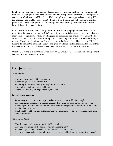functions, pursuant to a memorandum of agreement, provided that the local law enforcement officers receive appropriate training and function under the supervision of sworn U.S. Immigration and Customs Enforcement (ICE) officers. Under  $287(g)$ , with federal approval and training, ICE provides state and local law enforcement officers with the training and authorization to identify, process, and--when appropriate--detain immigration offenders they encounter during their regular, daily law-enforcement activity.

In the case of the Rockingham County Sheriff 's Office, the 287(g) program that was in effect for most of the five year period that the MOA was active was an in-jail agreement, meaning only those individuals brought to jail by local arresting agencies are scrutinized under 287(g) authority. In other words, when an individual was brought into the Rockingham County jail, whether through the Sheriff 's office or Harrisonburg City police, a trained officer in the jail has access to ICE databases to determine the immigration status of a given arrestee and detain the individual who is then handed over to ICE if they are determined to be in the country without documentation.

Out of 3,077 counties in the United States, there are 57 active 287(g) Memorandums of Agreement between local and federal authorities.

# **The Questions**

## **Introduction**

- How long have you lived in Harrisonburg?
- What brought you to Harrisonburg?
- What do you like most about your neighborhood? Least?
- How well do you know your neighbors?
- Do you feel part of your neighborhood, and why?

#### **Safety/Acknowledgement**

- What was your perception about your safety when you came to Harrisonburg?
- Has your feeling of security increased, decreased or stayed the same in the past three years?
- What do you think the police know about the Harrisonburg Latino community? What would you like them to know?
- What would you like the rest of the Harrisonburg community to know about the Latino immigrant community?

## **Police Interactions**

- How do you feel when you see police in Harrisonburg?
- Have you ever called on the police to help in an emergency?
- What changes could be made so that you feel safe with the police?
- Have you noticed a change in police presence in your neighborhood in the past three years?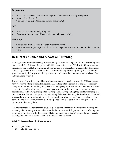#### **Deportation**

- Do you know someone who has been deported after being arrested by local police?
- How did this affect you?
- What impact has deportation had in your community?

# **287g**

- Do you know about the 287g program?
- Why do you think the Sheriff's office decided to implement 287g?

## **Follow-up**

- What do you think we should do with this information?
- What are some things that you can do to make change to the situation? What can the community do?

# **Results at a Glance and A Note on Listening**

After eight months of interviewing in Harrisonburg City and Rockingham County the steering committee decided to finish out the project with 122 recorded interviews. While this did not amount to the original goal of 200, the committee felt this number was adequate in understanding the impact of the 287(g) program and the perceptions of community or police safety felt by the Latino immigrant community. Below you will find quantitative results as well as common responses heard from individuals interviewed.

The majority of those interviewed knew of someone deported locally through the 287(g) program however knew nothing of the actual agreement. Most reported a general fear of police with many citing fear or hesitation in calling the police in an emergency. Most community members expressed respect for the police with many participants stating that they do not blame police for issues of deportation. Most participants reported enjoying Harrisonburg, stating they feel Harrisonburg is a calm place, suitable for raising their children. Many feel safe in their neighborhoods from crime and violence, however they feel unsafe when they see police or when driving. Many participants felt a connection to their community while others reported feeling isolated and not being in good connection with their neighbors.

It is important to note here that while we did glean some basic information from the listening project; our goal in listening was not only for results, but to increase dialogue about issues affecting the community. In other words, the process of listening was a goal in itself. Through the act of deeply listening individuals feel heard, which lends itself to empowerment.

## **What We Learned From the Questionnaire**

- 122 respondents,
- 67 females/33 males,  $22$  N/A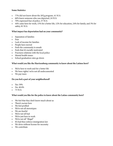#### **Some Statistics**

- • 77% did not know about the 287g program, 41 N/A
- • 66% knew someone who was deported, 24 N/A
- • 70% expressed fear of police, 37 N/A
- • 44% came here for work, 15% for a better life, 12% for education, 24% for family, and 3% for safety, 81 N/A

#### **What impact has deportation had on your community?**

- • Separation of families
- • Fear
- • Lack of income for families
- • People have moved
- Feels the community is unsafe
- • Feels that it's racially motivated
- • Fractures relations with the local police
- Mental health issues
- • School graduation rates go down

## **What would you like the Harrisonburg community to know about the Latinos here?**

- We're here to work and for a better life
- • We have rights/ we're not all undocumented
- We pay taxes

#### **Do you feel a part of your neighborhood?**

- Yes: 59%
- No:  $40.8\%$
- $\bullet$  73 N/A

## **What would you like for the police to know about the Latino community here?**

- • We feel that they don't know much about us
- • There's racism here
- We feel profiled
- • We're not all stereotypes
- We are fearful
- • We're not all bad
- • We're just here to work
- We're not all "illegal"
- • It's bad they enforce immigration law
- • We drive without license for necessity
- We contribute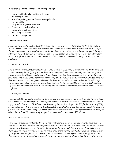## **What changes could be made to improve policing?**

- Inform and build relationships with Latinos
- No racial profiling
- Spanish speaking police officers/diverse police force
- No more 287g
- • Only detain high level criminals
- • Provide ways to obtain licenses
- Better interpretation options
- Not asking for papers
- No more checkpoints

## **Listener Experiences**

*I was astounded by the reaction I saw from one family. I was interviewing the wife on the front porch of their trailer. She was very reticent to answer my questions-- giving one word answers or not answering at all. After the interview ended, I was surprised when the husband (who'd been sitting and grilling on the porch during the interview) piped up and said "I've been deported." He was stopped for running a yellow light and later deported-- only traffic violations on his record. He returned because he had a wife and 2 daughters (one of whom had a sickness).*

## - Listener Emily Riehl

*I remember a particularly powerful interview with a mother of three living in National Coach trailer park. She was not aware of the 287(g) program but knew three close friends who were eventually deported through the program. She relayed to me, timidly and with hurt in her voice, that three friends went to a river in the county for a swim, and encountered a checkpoint after leaving. She did not know what happened exactly, but knew that they were arrested at the checkpoint and eventually deported. Since this incident, she has not felt safe bringing her children to a body of water for recreational purposes for fear she could be stopped at a checkpoint and deported. Her children where born in this country and are citizens so she lives in fear that she will be taken from her family.*

#### - Listener Josh Diamond

*I was contacted by a friend who asked me if I could help a family who's son was at the local jail. I went to interview the mother and her daughter. The daughter told me her brother was taken to jail for picking up a piece of log by the side of the road. He did not know this was against the law. He paid the \$50 fine but because of 287g he was picked up by ICE and was about to get deported. I was shocked to hear this because clearly he was a low priority case. After a public campaign he was released but he was very close to being deported despite having no criminal record and his mother being a Legal Permanent resident and sister a U.S. Citizen.*

#### -Listener Isabel Castillo

*There was one younger guy that I interviewed that really spoke to the flaws with our current immigration system. He told me about his travels as a migrant worker. He'd been around the United States and eventually ended up working in Washington state. He settled for a while and got a driver's license because it's not as hard to get there. Upon his return to Virginia to help his father while he was dealing with health issues, he was pulled over by an officer and asked for ID. He provided it and was immediately interrogated because the officer said that there was no way his driver's license was real. He went to court to fight the charges of falsification of documen-*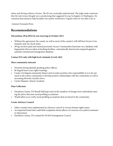*tation and driving without a license. The ID was eventually authenticated. The judge made comments that the interviewee thought were unwelcoming that suggested he may be happier in Washington. He remained determined to help his father but said he would leave Virginia when he was able to do so.*

-Listener Fernando Perez

# **Recommendations**

# **Discontinue 287g MOA by not renewing in October 2012**

- • Without the agreement, the county (as well as most of the country) will still have Secure Communities and can check status
- $287(g)$  involves paid and trained personnel, Secure Communities functions via a database with fingerprints that are taken at booking facilities- automatically shared and compared against a national criminal and immigration database.

# **Contact ICE only with high level criminals (Levels 1&2)**

## **More community outreach**

- Prioritize hiring Spanish speaking police officers
- • Bi-lingual know your rights trainings
- Create a bi-lingual community liaison and recruiter position who responsibility it is to do outreach in the Latino community to develop positive relationships with the community as well as increasing diversity of police force.
- • Create Hispanic citizens Academy

## **Data Collection**

- Davidson County, TN Sheriff Hall kept track of the numbers of foreign-born individuals entering the jail to discount racial profiling accusations
- Would allow us to verify racial profiling accusations that are heard in the community.

## **Create Advisory Council**

- Other counties have implemented an advisory council to oversee human rights issues
- An impartial board that could field complaints about officers of concerns over police/community interactions
- • Davidson County, TN created the DCSO's Immigration Council